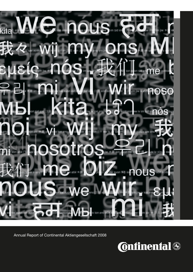# kita nou 两

Annual Report of Continental Aktiengesellschaft 2008

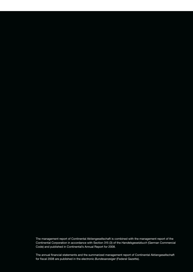The management report of Continental Aktiengesellschaft is combined with the management report of the Continental Corporation in accordance with Section 315 (3) of the *Handelsgesetzbuch* (German Commercial Code) and published in Continental's Annual Report for 2008.

The annual financial statements and the summarized management report of Continental Aktiengesellschaft for fiscal 2008 are published in the electronic *Bundesanzeiger* (Federal Gazette).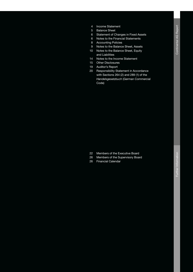- 4 Income Statement
- 5 Balance Sheet
- 6 Statement of Changes in Fixed Assets
- 6 Notes to the Financial Statements
- 8 Accounting Policies
- 9 Notes to the Balance Sheet, Assets
- 10 Notes to the Balance Sheet, Equity and Liabilities
- 14 Notes to the Income Statement
- 15 Other Disclosures
- 19 Auditor's Report
- 20 Responsibility Statement in Accordance with Sections 264 (2) and 289 (1) of the *Handelsgesetzbuch* (German Commercial Code)

- 22 Members of the Executive Board
- 26 Members of the Supervisory Board
- 26 Financial Calendar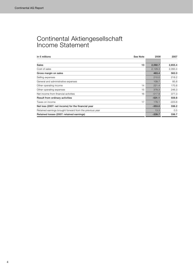# Continental Aktiengesellschaft Income Statement

| in $\epsilon$ millions                                   | See Note | 2008     | 2007     |
|----------------------------------------------------------|----------|----------|----------|
| <b>Sales</b>                                             | 13       | 2,592.7  | 2,655.4  |
| Cost of sales                                            |          | 2,129.3  | 2,093.4  |
| Gross margin on sales                                    |          | 463.4    | 562.0    |
| Selling expenses                                         |          | 210.0    | 218.2    |
| General and administrative expenses                      |          | 109.7    | 85.8     |
| Other operating income                                   | 14       | 221.4    | 170.8    |
| Other operating expenses                                 | 15       | 378.3    | 246.3    |
| Net income from financial activities                     | 16       | $-517.9$ | 377.3    |
| Result from ordinary activities                          |          | $-531.1$ | 559.8    |
| Taxes on income                                          | 17       | 178.1    | $-223.6$ |
| Net loss (2007: net income) for the financial year       |          | $-353.0$ | 336.2    |
| Retained earnings brought forward from the previous year |          | 13.3     | 0.5      |
| Retained losses (2007: retained earnings)                |          | $-339.7$ | 336.7    |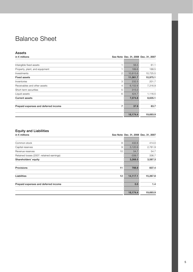# Balance Sheet

## Assets

| in $\epsilon$ millions                    |          | See Note Dec. 31, 2008 Dec. 31, 2007 |
|-------------------------------------------|----------|--------------------------------------|
|                                           |          |                                      |
| Intangible fixed assets                   | 56.5     | 61.1                                 |
| Property, plant, and equipment            | 189.6    | 188.5                                |
| 2<br>Investments                          | 10,815.6 | 10,725.5                             |
| <b>Fixed assets</b>                       | 11,061.7 | 10,975.1                             |
| 3<br>Inventories                          | 232.5    | 201.7                                |
| Receivables and other assets<br>4         | 6,102.6  | 7,316.9                              |
| 5<br>Short-term securities                | 315.0    |                                      |
| Liquid assets<br>6                        | 424.7    | 1,116.5                              |
| <b>Current assets</b>                     | 7,074.8  | 8,635.1                              |
| 7<br>Prepaid expenses and deferred income | 37.9     | 83.7                                 |
|                                           | 18,174.4 | 19,693.9                             |

## Equity and Liabilities

| in $\epsilon$ millions                    |          | See Note Dec. 31, 2008 Dec. 31, 2007 |
|-------------------------------------------|----------|--------------------------------------|
|                                           |          |                                      |
| Common stock<br>8                         | 432.6    | 414.0                                |
| 9<br>Capital reserves                     | 3,120.9  | 2,781.9                              |
| 10<br>Revenue reserves                    | 54.7     | 54.7                                 |
| Retained losses (2007: retained earnings) | $-339.7$ | 336.7                                |
| Shareholders' equity                      | 3,268.5  | 3,587.3                              |
| <b>Provisions</b><br>11                   | 788.8    | 837.4                                |
| Liabilities<br>12                         | 14,117.1 | 15,267.8                             |
| Prepaid expenses and deferred income      | 0.0      | 1.4                                  |
|                                           | 18,174.4 | 19,693.9                             |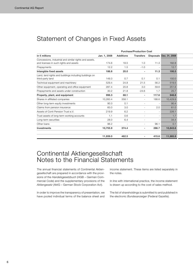# Statement of Changes in Fixed Assets

|                                                        |              |                  | <b>Purchase/Production Cost</b> |       |                         |  |
|--------------------------------------------------------|--------------|------------------|---------------------------------|-------|-------------------------|--|
| in $\epsilon$ millions                                 | Jan. 1, 2008 | <b>Additions</b> | <b>Transfers</b>                |       | Disposals Dec. 31, 2008 |  |
| Concessions, industrial and similar rights and assets, |              |                  |                                 |       |                         |  |
| and licenses in such rights and assets                 | 174.6        | 18.5             | 1.0                             | 11.3  | 182.8                   |  |
| Prepayments                                            | 12.2         | 1.5              | $-1.0$                          |       | 12.7                    |  |
| Intangible fixed assets                                | 186.8        | 20.0             |                                 | 11.3  | 195.5                   |  |
| Land, land rights and buildings including buildings on |              |                  |                                 |       |                         |  |
| third-party land                                       | 149.3        | 0.7              | 0.1                             | 0.1   | 150.0                   |  |
| Technical equipment and machinery                      | 529.4        | 24.8             | 21.5                            | 56.2  | 519.5                   |  |
| Other equipment, operating and office equipment        | 287.4        | 20.8             | 3.0                             | 59.6  | 251.6                   |  |
| Prepayments and assets under construction              | 30.2         | 21.8             | $-24.6$                         | 1.7   | 25.7                    |  |
| Property, plant, and equipment                         | 996.3        | 68.1             | ٠                               | 117.6 | 946.8                   |  |
| Shares in affiliated companies                         | 10,260.4     | 358.1            | $\overline{\phantom{0}}$        | 188.6 | 10,429.9                |  |
| Other long-term equity investments                     | 90.3         | 0.1              | $\overline{a}$                  |       | 90.4                    |  |
| Claims from pension insurance                          | 60.0         | 3.0              | $\overline{a}$                  | 2.0   | 61.0                    |  |
| Assets of Conti Pension Trust e.V.                     | 219.9        | 6.2              | $\overline{a}$                  |       | 226.1                   |  |
| Trust assets of long-term working accounts             | 1.1          | 0.6              |                                 |       | 1.7                     |  |
| Long-term securities                                   | 28.0         | 6.4              | $\overline{\phantom{a}}$        |       | 34.4                    |  |
| Other loans                                            | 96.2         |                  | $\overline{a}$                  | 96.1  | 0.1                     |  |
| Investments                                            | 10,755.9     | 374.4            | ٠                               | 286.7 | 10,843.6                |  |
|                                                        | 11,939.0     | 462.5            | ۰                               | 415.6 | 11,985.9                |  |

## Continental Aktiengesellschaft Notes to the Financial Statements

The annual financial statements of Continental Aktiengesellschaft are prepared in accordance with the provisions of the *Handelsgesetzbuch* (HGB – German Commercial Code) and the supplementary provisions of the *Aktiengesetz* (AktG – German Stock Corporation Act).

In order to improve the transparency of presentation, we have pooled individual terms of the balance sheet and

income statement. These items are listed separately in the notes.

In line with international practice, the income statement is drawn up according to the cost of sales method.

The list of shareholdings is submitted to and published in the electronic *Bundesanzeiger* (Federal Gazette).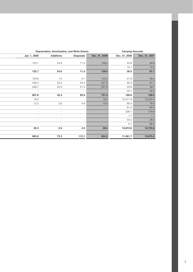|                          |                  | Depreciation, Amortization, and Write-Downs<br><b>Carrying Amounts</b> |               |               |               |
|--------------------------|------------------|------------------------------------------------------------------------|---------------|---------------|---------------|
| Jan. 1, 2008             | <b>Additions</b> | <b>Disposals</b>                                                       | Dec. 31, 2008 | Dec. 31, 2008 | Dec. 31, 2007 |
|                          |                  |                                                                        |               |               |               |
| 125.7                    | 24.6             | 11.3                                                                   | 139.0         | 43.8          | 48.9          |
|                          | -                | $\overline{a}$                                                         |               | 12.7          | 12.2          |
| 125.7                    | 24.6             | 11.3                                                                   | 139.0         | 56.5          | 61.1          |
|                          |                  |                                                                        |               |               |               |
| 120.8                    | 1.5              | 0.1                                                                    | 122.2         | 27.8          | 28.5          |
| 448.3                    | 23.3             | 44.4                                                                   | 427.2         | 92.3          | 81.1          |
| 238.7                    | 20.5             | 51.4                                                                   | 207.8         | 43.8          | 48.7          |
| $\overline{\phantom{a}}$ | $\overline{a}$   | $\overline{a}$                                                         |               | 25.7          | 30.2          |
| 807.8                    | 45.3             | 95.9                                                                   | 757.2         | 189.6         | 188.5         |
| 18.0                     | $\overline{a}$   | $\overline{a}$                                                         | 18.0          | 10,411.9      | 10,242.4      |
| 12.3                     | 2.6              | 4.9                                                                    | 10.0          | 80.4          | 78.0          |
| $\overline{a}$           | $\overline{a}$   | $\qquad \qquad \blacksquare$                                           |               | 61.0          | 60.0          |
|                          |                  |                                                                        |               | 226.1         | 219.9         |
|                          |                  |                                                                        |               | 1.7           | 1.1           |
|                          |                  | $\overline{a}$                                                         |               | 34.4          | 28.0          |
| $\overline{a}$           | $\overline{a}$   | $\qquad \qquad \blacksquare$                                           |               | 0.1           | 96.2          |
| 30.3                     | 2.6              | 4.9                                                                    | 28.0          | 10,815.6      | 10,725.6      |
|                          |                  |                                                                        |               |               |               |
| 963.8                    | 72.5             | 112.1                                                                  | 924.2         | 11,061.7      | 10,975.2      |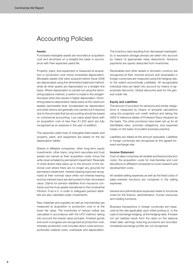# Accounting Policies

#### Assets

Purchased intangible assets are recorded at acquisition cost and amortized on a straight-line basis in accordance with their expected useful life.

Property, plant, and equipment is measured at acquisition or production cost minus scheduled depreciation. Moveable assets that were acquired before fiscal 2008 are depreciated using the diminished balanced method, while all other assets are depreciated on a straight-line basis. Where depreciation is carried out using the diminishing balance method, a switch is made to the straightline basis when this results in higher depreciation. Diminishing balance depreciation takes place at the maximum taxably permissible level. Accelerated tax depreciation and write-downs are generally only carried out if required due to the principle that tax accounting should be based on commercial accounting. Low-value asset items with an acquisition cost of less than €1,500 each are fully recognized as an expense in the year of addition.

The expected useful lives of intangible fixed assets and property, plant, and equipment are based on the tax depreciation tables.

Shares in affiliated companies, other long-term equity investments, other loans, long-term securities and trust assets are carried at their acquisition costs minus the write-down entailed by permanent impairment. Reversals of write-downs take place up to the amount of the historical cost where there are no longer any grounds for permanent impairment. Interest-bearing loans are recognized at their nominal value while non-interest-bearing and low interest loans are discounted to their net present value. Claims for pension liabilities from insurance contracts and the trust assets transferred to the Continental Pension Trust e.V. in order to safeguard pension liabilities are also classified under investments.

Raw materials and supplies as well as merchandise are measured at acquisition or production cost or at the lower fair value. The inventories of natural rubber are calculated in accordance with the LIFO method, taking into account the lowest value principle. Finished goods and work in progress are recognized at production cost, whereby production cost includes direct costs and proportionate material costs, overheads and depreciation. The inventory risks resulting from decreased marketability or excessive storage periods are taken into account by means of appropriate value deductions. Advance payments are openly deducted from inventories.

Receivables and other assets in domestic currency are recognized at their nominal amount and receivables in foreign currencies are measured using the hedging rate, to the extent economically justifiable. All recognizable individual risks are taken into account by means of appropriate discounts. Global discounts exist for the general credit risk.

#### Equity and Liabilities

The amount of provision for pensions and similar obligations is measured by means of actuarial calculations using the projected unit credit method and taking the 2005 G reference tables of Professor Klaus Heubeck as the basis. The other provisions have been set up for all identifiable risks, uncertain obligations, and expected losses on the basis of prudent business practice.

Liabilities are stated at the amount repayable. Liabilities in foreign currencies are recognized at the agreed forward exchange rate.

#### Income Statement

Cost of sales comprises all variable and fixed production costs, the acquisition costs for merchandise and cost allocations to affiliated companies to cover research and development costs.

All variable selling expenses as well as the fixed costs of sales-oriented functions are contained in the selling expenses.

General and administrative expenses relate to functional costs for the finance, administration, human resources and holding functions.

Business transactions in foreign currencies are measured at the rate applicable upon initial posting or, in the case of exchange hedging, at the hedging rates. If losses not yet realized result from the rates on the balance sheet date, earnings-reducing provisions are recorded. Unrealized exchange profits are not recognized.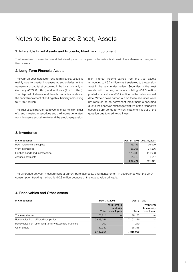# Notes to the Balance Sheet, Assets

## 1. Intangible Fixed Assets and Property, Plant, and Equipment

The breakdown of asset items and their development in the year under review is shown in the statement of changes in fixed assets.

## 2. Long-Term Financial Assets

The year-on-year increase in long-term financial assets is mainly due to capital increases at subsidiaries in the framework of capital structure optimizations, primarily in Germany (€327.0 million) and in Russia (€14.1 million). The disposal of shares in affiliated companies relates to the capital repayment of an English subsidiary amounting to €179.5 million.

The trust assets transferred to Continental Pension Trust e.V. and invested in securities and the income generated from this serve exclusively to fund the employee pension plan. Interest income earned from the trust assets amounting to €6.2 million was transferred to the pension trust in the year under review. Securities in the trust assets with carrying amounts totaling €54.5 million posted a fair value of €38.7 million on the balance sheet date. Write-downs carried out on these securities were not required as no permanent impairment is assumed due to the observed exchange volatility, or the respective securities are bonds for which impairment is out of the question due to creditworthiness.

## 3. Inventories

| in $\epsilon$ thousands        |           | Dec. 31, 2008 Dec. 31, 2007 |
|--------------------------------|-----------|-----------------------------|
| Raw materials and supplies     | 45.133    | 36.999                      |
| Work in progress               | 28.365    | 24.276                      |
| Finished goods and merchandise | 170.236   | 144.993                     |
| Advance payments               | $-11.310$ | $-4.647$                    |
|                                | 232.424   | 201.621                     |

The difference between measurement at current purchase costs and measurement in accordance with the LIFO consumption tracking method is -€0.3 million because of the lowest value principle.

## 4. Receivables and Other Assets

| in $\epsilon$ thousands                                  |                          | Dec. 31, 2008 | Dec. 31, 2007 |                          |
|----------------------------------------------------------|--------------------------|---------------|---------------|--------------------------|
|                                                          | With term to<br>maturity |               |               | With term<br>to maturity |
|                                                          | Total                    | over 1 year   | Total         | over 1 year              |
| Trade receivables                                        | 173,214                  |               | 176,175       |                          |
| Receivables from affiliated companies                    | 5,848,251                |               | 7,102,229     |                          |
| Receivables from other long-term investees and investors | 200                      |               | 240           |                          |
| Other assets                                             | 80,989                   |               | 38,316        |                          |
|                                                          | 6,102,654                |               | 7,316,960     |                          |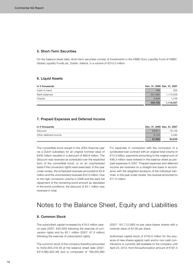## 5. Short-Term Securities

On the balance sheet date, short-term securities consist of investments in the HSBC Euro Liquidity Fund of HSBC Global Liquidity Funds plc, Dublin, Ireland, in a volume of €315.0 million.

## 6. Liquid Assets

| in $\epsilon$ thousands |         | Dec. 31, 2008 Dec. 31, 2007 |
|-------------------------|---------|-----------------------------|
| Cash-in-hand            | 189     | 200                         |
| Bank balances           | 421.695 | 1,115,059                   |
| Checks                  | 2.848   | 1.248                       |
|                         | 424,732 | 1,116,507                   |

## 7. Prepaid Expenses and Deferred Income

| in $\epsilon$ thousands |        | Dec. 31, 2008 Dec. 31, 2007 |
|-------------------------|--------|-----------------------------|
| Discount                | 29.811 | 79.159                      |
| Other deferred income   | 8.124  | 4.490                       |
|                         | 37.935 | 83.649                      |

The convertible bond issued in the 2004 financial year via a Dutch subsidiary for an original nominal value of €400 million resulted in a discount of €69.9 million. The discount was reversed as scheduled over the expected term of the convertible bond, or on an unscheduled basis if the conversion rights were exercised. In the year under review, the scheduled reversals amounted to €5.8 million and the unscheduled reversals €24.0 million. Due to the high conversion volume in 2008 and the early full repayment of the remaining bond amount as stipulated in the bond conditions, the discount of €2.1 million was reversed in total.

For expenses in connection with the conclusion of a syndicated loan contract with an original total volume of €13.5 billion, payments amounting to the original sum of €48.3 million were entered in the balance sheet as prepaid expenses in 2007. Prepaid expenses and deferred income are reversed on a straight-line basis in accordance with the weighted durations of the individual tranches. In the year under review, the reversal amounted to €17.0 million.

# Notes to the Balance Sheet, Equity and Liabilities

## 8. Common Stock

The subscribed capital increased by €18.5 million yearon-year (2007: €40,000) following the exercise of conversion rights and by €0.1 million (2007: €1.3 million) following the exercise of subscription rights.

The common stock of the company therefore amounted to €432,655,316.48 at the balance sheet date (2007: €413,982,932.48) and is composed of 169,005,983 (2007: 161,712,083) no-par value bearer shares with a notional value of €2.56 per share.

Authorized capital stock of €150.0 million for the issuance of new shares against cash and/or non-cash contributions is currently still available to the company until April 23, 2012, from the authorization amount of €187.5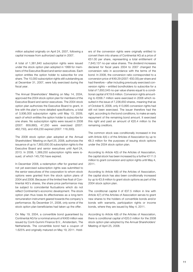million adopted originally on April 24, 2007, following a capital increase from authorized capital in 2007.

A total of 1,381,840 subscription rights were issued under the stock option plan adopted in 1999 for members of the Executive Board and senior executives. Each option entitles the option holder to subscribe for one share. The 10,000 subscription rights still outstanding as at December 31, 2007, were fully exercised during the fiscal year.

The Annual Shareholders' Meeting on May 14, 2004, approved the 2004 stock option plan for members of the Executive Board and senior executives. The 2004 stock option plan authorizes the Executive Board to grant, in line with the plan's more detailed specifications, a total of 3,936,000 subscription rights until May 13, 2009, each of which entitles the option holder to subscribe for one share. No subscription rights were issued in 2008 (2007: 859,880), 47,250 were exercised (2007: 462,750), and 459,230 expired (2007: 116,300).

The 2008 stock option plan adopted at the Annual Shareholders' Meeting on April 25, 2008, authorizes the issuance of up to 7,800,000.00 subscription rights to the Executive Board and senior executives until April 24, 2013. In 2008, 1,369,250 subscription rights were issued, of which 145,750 have expired.

In December 2008, a redemption offer for granted and not yet exercised subscription rights was submitted to the senior executives of the corporation to whom stock options were granted from the stock option plans of 2004 and 2008. Because of the limited free float of Continental AG's shares, the share price performance may be subject to coincidental fluctuations which do not reflect Continental's economic development. The stock option plan thus loses its effectiveness as a long-term remuneration instrument geared towards the company's performance. By December 31, 2008, only some of the stock option plan beneficiaries had taken up the offer.

On May 19, 2004, a convertible bond guaranteed by Continental AG for a nominal amount of €400 million was issued by Conti-Gummi Finance B.V., Amsterdam, The Netherlands. The convertible bond had a coupon of 1.625% and originally matured on May 19, 2011. Holders of the conversion rights were originally entitled to convert them into shares of Continental AG at a price of €51.00 per share, representing a total entitlement of 7,843,137 no-par value shares. The dividend increases declared for fiscal years 2004 to 2007 changed the conversion ratio in accordance with the terms of the bond. In 2008, the conversion ratio corresponded to a conversion price of €49.29 (2007: €50.05) per share and had therefore – after including previously exercised conversion rights – entitled bondholders to subscribe for a total of 7,650,545 no-par value shares equal to a conditional capital of €19.6 million. Conversion rights amounting to €356.7 million were exercised in 2008 which resulted in the issue of 7,236,650 shares, meaning that as of October 6, 2008, only 413,895 conversion rights had still not been exercised. The issuer therefore had the right, according to the bond conditions, to make an early repayment of the remaining bond amount. It exercised this right and paid an amount of €20.4 million to the remaining creditors.

The common stock was conditionally increased in line with Article 4(4) c of the Articles of Association by up to €6.3 million for the purposes of issuing stock options under the 2004 stock option plan.

According to Article 4(5) of the Articles of Association, the capital stock has been increased by a further €111.5 million to grant conversion and option rights until May 4, 2011.

According to Article 4(6) of the Articles of Association, the capital stock has also been conditionally increased by up to €3.8 million to grant stock options as part of the 2004 stock option plan.

The conditional capital II of €37.5 million in line with Article 4(7) of the Articles of Association serves to grant new shares to the holders of convertible bonds and/or bonds with warrants, participation rights or income bonds, where they are issued by May 4, 2011.

According to Article 4(8) of the Articles of Association, there is conditional capital of €20.0 million for the 2008 stock option plan adopted by the Annual Shareholders' Meeting of April 25, 2008.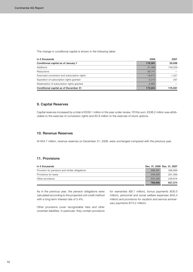The change in conditional capital is shown in the following table:

| in $\epsilon$ thousands                      | 2008      | 2007     |
|----------------------------------------------|-----------|----------|
| Conditional capital as of January 1          | 176,581   | 29,006   |
| Additions                                    | 57.468    | 149.229  |
| <b>Reductions</b>                            | $-39.747$ |          |
| Exercised conversion and subscription rights | $-18.672$ | $-1.357$ |
| Expiration of subscription rights granted    | $-2.313$  | $-297$   |
| Redemption of subscription rights granted    | $-2,663$  |          |
| Conditional capital as of December 31        | 170.654   | 176.581  |

## 9. Capital Reserves

Capital reserves increased by a total of €339.1 million in the year under review. Of this sum, €338.2 million was attributable to the exercise of conversion rights and €0.9 million to the exercise of stock options.

## 10. Revenue Reserves

At €54.7 million, revenue reserves on December 31, 2008, were unchanged compared with the previous year.

## 11. Provisions

| in $\epsilon$ thousands                        |         | Dec. 31, 2008 Dec. 31, 2007 |
|------------------------------------------------|---------|-----------------------------|
| Provision for pensions and similar obligations | 306.491 | 296,869                     |
| Provisions for taxes                           | 248,030 | 291,589                     |
| Other provisions                               | 234.335 | 248,916                     |
|                                                | 788,856 | 837,374                     |

As in the previous year, the pension obligations were calculated according to the projected unit credit method with a long-term interest rate of 5.4%.

Other provisions cover recognizable risks and other uncertain liabilities. In particular, they contain provisions

for warranties (€8.7 million), bonus payments (€30.5 million), personnel and social welfare expenses (€45.4 million) and provisions for vacation and service anniversary payments (€15.2 million).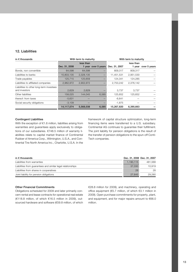## 12. Liabilities

| in $\epsilon$ thousands                                   | With term to maturity |           |                     | With term to maturity |                     |              |
|-----------------------------------------------------------|-----------------------|-----------|---------------------|-----------------------|---------------------|--------------|
|                                                           | Dec. 31, 2008         | less than | 1 year over 5 years | Dec. 31, 2007         | less than<br>1 year | over 5 years |
| Bonds, non convertible                                    | 64,598                | 64,598    |                     | 809,317               | 809,317             |              |
| Liabilities to banks                                      | 10,803,135            | 2,328,135 |                     | 11,451,531            | 2,951,530           |              |
| Trade payables                                            | 125,715               | 125,659   |                     | 124,341               | 124,285             |              |
| Liabilities to affiliated companies                       | 2,962,972             | 2,902,972 |                     | 2,753,242             | 2,376,142           |              |
| Liabilities to other long-term investees<br>and investors | 2,629                 | 2,629     |                     | 3.737                 | 3,737               |              |
| Other liabilities                                         | 158,025               | 144,045   | 6,585               | 125,652               | 125,652             |              |
| thereof: from taxes                                       | $-5,631$              |           |                     | $-6,641$              |                     |              |
| Social security obligations                               | $-3,109$              |           |                     | $-1,875$              |                     |              |
|                                                           | 14,117,074            | 5,568,038 | 6,585               | 15,267,820            | 6,390,663           |              |

## Contingent Liabilities

With the exception of €1.6 million, liabilities arising from warranties and guarantees apply exclusively to obligations of our subsidiaries. €748.5 million of warranty liabilities relate to capital market finance of Continental Rubber of America Corp., Wilmington, U.S.A., and Continental Tire North America Inc., Charlotte, U.S.A. In the framework of capital structure optimization, long-term financing items were transferred to a U.S. subsidiary. Continental AG continues to guarantee their fulfillment. The joint liability for pension obligations is the result of the transfer of pension obligations to the spun-off Conti-Tech companies.

| in $\epsilon$ thousands                                     | Dec. 31, 2008 Dec. 31, 2007 |         |
|-------------------------------------------------------------|-----------------------------|---------|
| Liabilities from warranties                                 | 1.190.115                   | 481.568 |
| Liabilities from quarantees and similar legal relationships | 37,030                      | 10.919  |
| Liabilities from shares in cooperatives                     | 28                          | 28      |
| Joint liability for pension obligations                     | 27.645                      | 29,280  |

## Other Financial Commitments

Obligations scheduled for 2009 and later primarily concern rental and lease contracts for operational real estate (€118.8 million, of which €16.5 million in 2009), outsourced hardware and software (€59.8 million, of which €28.8 million for 2009), and machinery, operating and office equipment (€5.7 million, of which €3.1 million in 2009). Open purchase commitments for property, plant, and equipment, and for major repairs amount to €66.0 million.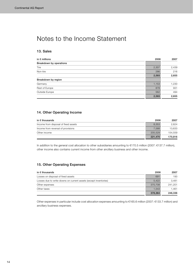# Notes to the Income Statement

## 13. Sales

| in $\epsilon$ millions  | 2008  | 2007  |
|-------------------------|-------|-------|
| Breakdown by operations |       |       |
| Tire                    | 2,307 | 2,439 |
| Non-tire                | 286   | 216   |
|                         | 2,593 | 2,655 |
| Breakdown by region     |       |       |
| Germany                 | 1,153 | 1,230 |
| Rest of Europe          | 878   | 931   |
| Outside Europe          | 562   | 494   |
|                         | 2,593 | 2,655 |

## 14. Other Operating Income

| in $\epsilon$ thousands              | 2008    | 2007    |
|--------------------------------------|---------|---------|
| Income from disposal of fixed assets | 8.353   | 2.624   |
| Income from reversal of provisions   | 7.588   | 13.633  |
| Other income                         | 205,529 | 154.559 |
|                                      | 221.470 | 170.816 |

In addition to the general cost allocation to other subsidiaries amounting to €170.5 million (2007: €137.7 million), other income also contains current income from other ancillary business and other income.

## 15. Other Operating Expenses

| in $\epsilon$ thousands                                          | 2008    | 2007    |
|------------------------------------------------------------------|---------|---------|
| Losses on disposal of fixed assets                               | 691     | 193     |
| Losses due to write-downs on current assets (except inventories) | 5.422   | 3.481   |
| Other expenses                                                   | 370,708 | 241.201 |
| Other taxes                                                      | 1.543   | 1.461   |
|                                                                  | 378,364 | 246,336 |

Other expenses in particular include cost allocation expenses amounting to €165.6 million (2007: €133.7 million) and ancillary business expenses.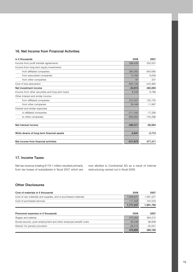## 16. Net Income from Financial Activities

| in $\epsilon$ thousands                          | 2008       | 2007       |
|--------------------------------------------------|------------|------------|
| Income from profit transfer agreements           | 288,426    | 250,557    |
| Income from long-term equity investments         |            |            |
| from affiliated companies                        | 264,262    | 645,685    |
| from associated companies                        | 12,492     | 6,639      |
| from other companies                             | 87         | 207        |
| Cost of loss absorption                          | $-620,182$ | $-442,995$ |
| Net investment income                            | $-54,915$  | 460,093    |
| Income from other securities and long-term loans | 6,533      | 9,786      |
| Other interest and similar income                |            |            |
| from affiliated companies                        | 314,347    | 120,755    |
| from other companies                             | 30,448     | 11,897     |
| Interest and similar expenses                    |            |            |
| to affiliated companies                          | $-211,040$ | $-77,206$  |
| to other companies                               | $-600.605$ | $-145.296$ |
| Net interest income                              | $-460.317$ | $-80,064$  |
| Write-downs of long-term financial assets        | $-2,641$   | $-2,712$   |
| Net income from financial activities             | $-517,873$ | 377,317    |

## 17. Income Taxes

Net tax revenue totaling €178.1 million resulted primarily from tax losses of subsidiaries in fiscal 2007 which are

now allotted to Continental AG as a result of internal restructuring carried out in fiscal 2008.

## Other Disclosures

| Cost of materials in $\epsilon$ thousands                      | 2008      | 2007      |
|----------------------------------------------------------------|-----------|-----------|
| Cost of raw materials and supplies, and of purchased materials | 1.659.647 | 1.587.227 |
| Cost of purchased services                                     | 111.400   | 104.533   |
|                                                                | 1.771.047 | 1.691.760 |

| Personnel expenses in $\epsilon$ thousands                        | 2008      | 2007      |
|-------------------------------------------------------------------|-----------|-----------|
| Wages and salaries                                                | 375.264   | 383.572   |
| Social security, post-employment and other employee benefit costs | 95.538    | 96.608    |
| thereof: for pension provision                                    | $-28.413$ | $-30.557$ |
|                                                                   | 470.802   | 480.180   |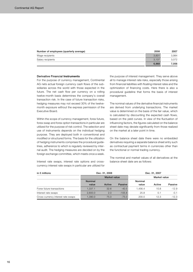| Number of employees (quarterly average) | 2008  | 2007  |
|-----------------------------------------|-------|-------|
| Wage recipients                         | 3.831 | 3.984 |
| Salary recipients                       | 3.137 | 3.072 |
|                                         | 6.968 | 7.056 |

## Derivative Financial **Instruments**

For the purpose of currency management, Continental AG nets actual foreign currency cash flows of the subsidiaries across the world with those expected in the future. The net cash flow per currency on a rolling twelve-month basis determines the company's overall transaction risk. In the case of future transaction risks, hedging measures may not exceed 30% of the twelvemonth exposure without the express permission of the Executive Board.

Within the scope of currency management, forex future, forex swap and forex option transactions in particular are utilized for the purpose of risk control. The selection and use of instruments depends on the individual hedging purpose. They are deployed both in conventional and modified or structured forms. The basis for the utilization of hedging instruments comprises the procedural guidelines, adherence to which is regularly reviewed by internal audit. The hedging measures are decided on by the foreign exchange committee, which meets once a week.

the purpose of interest management. They serve above all to manage interest rate risks, especially those arising from financial liabilities with floating interest rates and the optimization of financing costs. Here there is also a procedural guideline that forms the basis of interest management.

The nominal values of the derivative financial instruments are derived from underlying transactions. The market value is determined on the basis of the fair value, which is calculated by discounting the expected cash flows, based on the yield curves. In view of the fluctuation of influencing factors, the figures calculated on the balance sheet date may deviate significantly from those realized on the market at a later point in time.

On the balance sheet date there were no embedded derivatives requiring a separate balance sheet entry such as contractual payment terms in currencies other than the functional or normal trading currency.

The nominal and market values of all derivatives at the balance sheet date are as follows:

| in $\epsilon$ millions             |                | Dec. 31, 2008       |          |         | Dec. 31, 2007 |         |
|------------------------------------|----------------|---------------------|----------|---------|---------------|---------|
|                                    |                | <b>Market value</b> |          |         | Market value  |         |
|                                    | <b>Nominal</b> |                     |          | Nominal |               |         |
|                                    | value          | Active              | Passive  | value   | Active        | Passive |
| Forex future transactions          | 1.337.1        | 32.6                | $-40.5$  | 1.456.4 | 10.8          | $-12.9$ |
| Interest rate swaps                | 2.600.0        | 2.0                 | $-105.8$ | 25.8    | 0.1           | $-0.1$  |
| Cross-currency interest rate swaps | 1.390.0        | 75.0                | $-75.0$  | 200.0   | 12.3          | $-12.3$ |

Interest rate swaps, interest rate options and crosscurrency interest rate swaps in particular are utilized for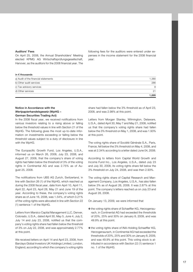## Auditors' Fees

On April 25, 2008, the Annual Shareholders' Meeting elected KPMG AG Wirtschaftsprüfungsgesellschaft, Hanover, as the auditors for the 2008 financial year. The

following fees for the auditors were entered under expenses in the income statement for the 2008 financial year:

#### in € thousands

| a) Audit of the financial statements | 1,380  |
|--------------------------------------|--------|
| b) Other audit services              | 286    |
| c) Tax advisory services             | 8      |
| d) Other services                    | 21     |
|                                      | 695. ا |

## Notice in Accordance with the *Wertpapierhandelsgesetz* (WpHG – German Securities Trading Act)

In the 2008 fiscal year, we received notifications from various investors relating to a rising above or falling below the threshold values in line with Section 21 of the WpHG. The following gives the most up-to-date information on investments exceeding or falling below the threshold values subject to a duty of disclosure in line with the WpHG.

The Europacific Growth Fund, Los Angeles, U.S.A., informed us on March 26, 2008, July 23, 2008, and August 27, 2008, that the company's share of voting rights had fallen below the threshold of 3% of the voting rights in Continental AG and was 2.75% as of August 25, 2008.

The notifications from UBS AG Zurich, Switzerland, in line with Section 26 (1) of the WpHG, which reached us during the 2008 fiscal year, date from April 10, April 11, April 22, April 23, April 28, May 21 and June 19 of the year. According to these, the company's voting rights share as of June 16, 2008, was 1.54%, of which 0.21% of the voting rights were allocated in line with Section 22 (1) sentence 1 of the WpHG.

Letters from Marsico Capital Management LLC, Denver, Colorado, U.S.A., dated April 30, May 5, June 4, July 2, July 14 and July 23, 2008, notified us that the company's voting rights share had fallen below the threshold of 3% on July 22, 2008, and was approximately 2.77% at this point.

We received letters on April 14 and April 23, 2008, from Barclays Global Investors UK Holdings Limited, London, England, according to which the company's voting rights share had fallen below the 3% threshold as of April 23, 2008, and was 2.98% at this point.

Letters from Morgan Stanley, Wilmington, Delaware, U.S.A., dated April 30, May 7 and May 21, 2008, notified us that the company's voting rights share had fallen below the 3% threshold on May 1, 2008, and was 1.93% at this point.

The voting rights share of Société Générale S.A., Paris, France, fell below the 3% threshold on May 4, 2008, and was at 2.34% according to a letter dated June 04, 2008.

According to letters from Capital World Growth and Income Fund Inc., Los Angeles, U.S.A., dated July 23 and July 30, 2008, its voting rights share fell below the 3% threshold on July 24, 2008, and was then 2.93%.

The voting rights share of Capital Research and Management Company, Los Angeles, U.S.A., has also fallen below 3% as of August 26, 2008. It was 2.87% at this point. The company's letters reached us on July 23 and August 28, 2008.

On January 13, 2009, we were informed that

- $\circ$  the voting rights share of Schaeffler KG, Herzogenaurach, in Continental AG had exceeded the thresholds of 20%, 25% and 30% on January 8, 2009, and was 49.9% at this point.
- **o** the voting rights share of INA-Holding Schaeffler KG, Herzogenaurach, in Continental AG had exceeded the thresholds of 20%, 25% and 30% on January 8, 2009, and was 49.9% at this point. This voting stock is attributed in accordance with Section 22 (1) sentence 1 no. 1 of the WpHG.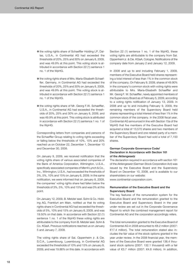- $\circ$  the voting rights share of Schaeffler Holding LP, Dallas, U.S.A., in Continental AG had exceeded the thresholds of 20%, 25% and 30% on January 8, 2009, and was 49.9% at this point. This voting stock is attributed in accordance with Section 22 (1) sentence 1 no. 1 of the WpHG.
- $\circ$  the voting rights share of Mrs. Maria-Elisabeth Schaeffler, Germany, in Continental AG had exceeded the thresholds of 20%, 25% and 30% on January 8, 2009, and was 49.9% at this point. This voting stock is attributed in accordance with Section 22 (1) sentence 1 no. 1 of the WpHG.
- **o** the voting rights share of Mr. Georg F.W. Schaeffler, U.S.A., in Continental AG had exceeded the thresholds of 20%, 25% and 30% on January 8, 2009, and was 49.9% at this point. This voting stock is attributed in accordance with Section 22 (1) sentence 1 no. 1 of the WpHG.

Corresponding letters from companies and persons of the Schaeffler Group relating to voting rights exceeding or falling below the thresholds of 10%, 15% and 20% reached us on October 22, December 1, December 10 and December 30, 2008.

On January 9, 2009, we received notification that the voting rights share of various associated companies of the Bank of America Corporation, Wilmington, U.S.A., specifically associated companies of Merrill Lynch & Co., Inc., Wilmington, U.S.A., had exceeded the thresholds of 3%, 5%, 10% and 15% on January 6, 2009. In the same notification, we were informed that on January 8, 2009, the companies' voting rights share had fallen below the thresholds of 3%, 5%, 10% and 15% and was 0% at this point.

On January 12, 2009, B. Metzler seel. Sohn & Co. Holding AG, Frankfurt am Main, notified us that its voting rights share in Continental AG had exceeded the thresholds of 5%, 10% and 15% on January 8, 2009, and was 19.50% on that date. In accordance with Section 22 (1) sentence 1 no. 1 of the WpHG these voting rights are attributable to the company from B. Metzler seel. Sohn & Co. KGaA. Previous notifications reached us on January 5 and January 7, 2009.

The voting rights share of Sal. Oppenheim jr. & Cie. S.C.A., Luxembourg, Luxembourg, in Continental AG exceeded the thresholds of 10% and 15% on January 8, 2009, and was 19.86% on this date. In accordance with Section 22 (1) sentence 1 no. 1 of the WpHG, these voting rights are attributable to the company from Sal. Oppenheim jr. & Cie. KGaA, Cologne. Notifications of the company date from January 2 and January 12, 2009.

In 2008 and up to and including February 1, 2009, members of the Executive Board held shares representing a total interest of less than 1% in the common stock of the company. On February 9, 2009, shares of 49.90% in the company's common stock with voting rights were attributable to Mrs. Maria-Elisabeth Schaeffler and Mr. Georg F. W. Schaeffler, newly appointed members of the Supervisory Board as of February 5, 2009, according to a voting rights notification of January 13, 2009. In 2008 and up to and including February 9, 2009, the remaining members of the Supervisory Board held shares representing a total interest of less than 1% in the common stock of the company. In the 2008 fiscal year, Continental AG announced in line with Section 15a of the WpHG that five members of the Executive Board had acquired a total of 13,570 shares and two members of the Supervisory Board and one related party of a member of the Supervisory Board had sold a total of 7,150 shares.

## German Corporate Governance Code/ Declaration in Accordance with Section 161 of the *Aktiengesetz*

The declaration required in accordance with section 161 of the *Aktiengesetz* (German Stock Corporation Act) was issued by the Executive Board and the Supervisory Board on December 10, 2008, and is available to our shareholders on our website:

www.continental-corporation.com.

## Remuneration of the Executive Board and the Supervisory Board

The key features of the remuneration system for the Executive Board and the remuneration granted to the Executive Board and Supervisory Board in the year under review are set out in the Corporate Governance Report to which the combined management report for Continental AG and the corporation accordingly refers.

The total remuneration granted to the Executive Board of Continental AG in 2008 amounted to €8.2 million (2007: €17.4 million). The total remuneration stated also includes the fair value of the stock options granted in the year under review. In the 2008 financial year, the members of the Executive Board were granted 136.4 thousand stock options (2007: 132.1 thousand) with a fair value of €3.7 million (2007: €4.8 million). In addition,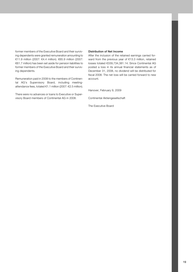former members of the Executive Board and their surviving dependents were granted remuneration amounting to €11.9 million (2007: €4.4 million). €65.9 million (2007: €61.7 million) has been set aside for pension liabilities to former members of the Executive Board and their surviving dependents.

Remuneration paid in 2008 to the members of Continental AG's Supervisory Board, including meetingattendance fees, totaled €1.1 million (2007: €2.5 million).

There were no advances or loans to Executive or Supervisory Board members of Continental AG in 2008.

#### Distribution of Net Income

After the inclusion of the retained earnings carried forward from the previous year of €13.3 million, retained losses totaled €339,734,381.14. Since Continental AG posted a loss in its annual financial statements as of December 31, 2008, no dividend will be distributed for fiscal 2008. The net loss will be carried forward to new account.

Hanover, February 9, 2009

Continental Aktiengesellschaft

The Executive Board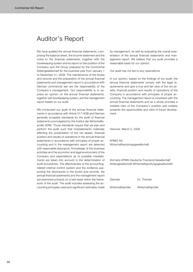# Auditor's Report

We have audited the annual financial statements, comprising the balance sheet, the income statement and the notes to the financial statements, together with the bookkeeping system and its report on the position of the Company and the Group prepared by the Continental Aktiengesellschaft for the business year from January 1 to December 31, 2008. The maintenance of the books and records and the preparation of the annual financial statements and management report in accordance with German commercial law are the responsibility of the Company's management. Our responsibility is to express an opinion on the annual financial statements, together with bookkeeping system, and the management report based on our audit.

We conducted our audit of the annual financial statements in accordance with Article 317 HGB and German generally accepted standards for the audit of financial statements promulgated by the Institut der Wirtschaftsprüfer (IDW). Those standards require that we plan and perform the audit such that misstatements materially affecting the presentation of the net assets, financial position and results of operations in the annual financial statements in accordance with principles of proper accounting and in the management report are detected with reasonable assurance. Knowledge of the business activities and the economic and legal environment of the Company and expectations as to possible misstatements are taken into account in the determination of audit procedures. The effectiveness of the accountingrelated internal control system and the evidence supporting the disclosures in the books and records, the annual financial statements and the management report are examined primarily on a test basis within the framework of the audit. The audit includes assessing the accounting principles used and significant estimates made

by management, as well as evaluating the overall presentation of the annual financial statements and management report. We believe that our audit provides a reasonable basis for our opinion.

Our audit has not led to any reservations.

In our opinion, based on the findings of our audit, the annual financial statements comply with the legal requirements and give a true and fair view of the net assets, financial position and results of operations of the Company in accordance with principles of proper accounting. The management report is consistent with the annual financial statements and as a whole provides a suitable view of the Company's position and suitably presents the opportunities and risks of future development.

Hanover, March 2, 2009

KPMG AG Wirtschaftsprüfungsgesellschaft

(formerly KPMG Deutsche Treuhand-Gesellschaft Aktiengesellschaft Wirtschaftsprüfungsgesellschaft)

| Zehnder           | Dr. Thümler       |
|-------------------|-------------------|
| Wirtschaftsprüfer | Wirtschaftsprüfer |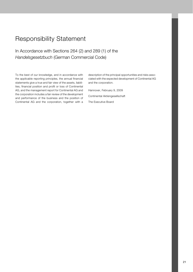# Responsibility Statement

## In Accordance with Sections 264 (2) and 289 (1) of the *Handelsgesetzbuch* (German Commercial Code)

To the best of our knowledge, and in accordance with the applicable reporting principles, the annual financial statements give a true and fair view of the assets, liabilities, financial position and profit or loss of Continental AG, and the management report for Continental AG and the corporation includes a fair review of the development and performance of the business and the position of Continental AG and the corporation, together with a description of the principal opportunities and risks associated with the expected development of Continental AG and the corporation.

Hannover, February 9, 2009 Continental Aktiengesellschaft The Executive Board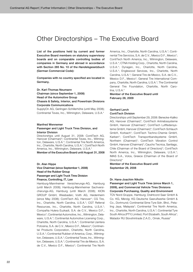# Other Directorships – The Executive Board

List of the positions held by current and former Executive Board members on statutory supervisory boards and on comparable controlling bodies of companies in Germany and abroad in accordance with Section 285 No. 10 of the *Handelsgesetzbuch* (German Commercial Code):

Companies with no country specified are located in Germany.

Dr. Karl-Thomas Neumann Chairman (since September 1, 2008) Head of the Automotive Group Chassis & Safety, Interior, and Powertrain Divisions Corporate Communications

SupplyOn AG, Gerlingen-Schillerhöhe (until May 2008); Continental Teves, Inc., Wilmington, Delaware, U.S.A.\*

#### Manfred Wennemer

## Passenger and Light Truck Tires Division, and Interior Division

Directorships until August 31, 2008: ContiTech AG, Hanover (Chairman)\*; Continental Teves, Inc., Wilmington, Delaware, U.S.A.\*; Continental Tire North America, Inc., Charlotte, North Carolina, U.S.A.\*; ContiTech North America, Inc., Wilmington, Delaware, U.S.A.\*

Member of the Executive Board until August 31, 2008

## Dr. Alan Hippe

Vice Chairman (since September 1, 2008) Head of the Rubber Group Passenger and Light Truck Tires Division

Finance, Controlling, IT, Law Hamburg-Mannheimer Versicherungs-AG, Hamburg

(until March 2008); Hamburg-Mannheimer Sachversicherungs-AG, Hamburg (until March 2008); KION GROUP GmbH, Wiesbaden; Voith AG, Heidenheim (since May 2008); ContiTech AG, Hanover\*; CG Tire, Inc., Charlotte, North Carolina, U.S.A.\*; CGT Referral Resources, Inc., Charlotte, North Carolina, U.S.A.\*; Compañia Hulera Euzkadi, S.A. de C.V., Mexico D.F., Mexico\*; Continental Automotive, Inc., Wilmington, Delaware, U.S.A.\*; Continental Automotive Licensing Corp., Charlotte, North Carolina, U.S.A.\*; Continental Llantera Potosina, S.A. de C.V., Mexico D.F., Mexico\*; Continental Products Corporation, Charlotte, North Carolina, U.S.A.\*; Continental Rubber of America, Corp., Wilmington, Delaware, U.S.A.\*; Continental Teves, Inc., Wilmington, Delaware, U.S.A.\*; Continental Tire de Mexico, S.A. de C.V., Mexico D.F., Mexico\*; Continental Tire North America, Inc., Charlotte, North Carolina, U.S.A.\*; Continental Tire Servicios, S.A. de C.V., Mexico D.F., Mexico\*; ContiTech North America, Inc., Wilmington, Delaware, U.S.A.\*; CTNA Holding Corp., Charlotte, North Carolina, U.S.A.\*; Dynagen, Inc., Charlotte, North Carolina, U.S.A.\*; Englewood Services, Inc., Charlotte, North Carolina, U.S.A.\*; General Tire de Mexico, S.A. de C.V., Mexico D.F., Mexico\*; General Tire International Company, Charlotte, North Carolina, U.S.A.\*; The Continental General Tire Foundation, Charlotte, North Carolina, U.S.A.\*

Member of the Executive Board until February 28, 2009

#### Gerhard Lerch ContiTech Division

Directorships until September 29, 2008: Benecke-Kaliko AG, Hanover (Chairman)\*; ContiTech Antriebssysteme GmbH, Hanover (Chairman)\*; ContiTech Luftfedersysteme GmbH, Hanover (Chairman)\*; ContiTech Schlauch GmbH, Korbach\*; ContiTech Techno-Chemie GmbH, Karben\*; ContiTech Transportbandsysteme GmbH, Northeim (Chairman)\*; ContiTech Vibration Control GmbH, Hanover (Chairman)\*; Caucho Tecnica, Santiago, Chile (Chairman of the Board of Directors)\*; ContiTech North America, Inc., Wilmington, Delaware, U.S.A.\*; IMAS S.A., Volos, Greece (Chairman of the Board of Directors)\*

Member of the Executive Board until September 29, 2008

#### Dr. Hans-Joachim Nikolin

Passenger and Light Truck Tires (since March 1, 2009), and Commercial Vehicle Tires Divisions Corporate Purchasing, Quality and Environment

TÜV Nord-Gruppe, Hamburg; Drahtcord Saar GmbH & Co. KG, Merzig; KG Deutsche Gasrußwerke GmbH & Co., Dortmund; Continental Sime Tyre Sdn. Bhd., Petaling Jaya, Malaysia\*; Continental Tire North America, Inc., Charlotte, North Carolina, U.S.A.\*; Continental Tyre South Africa (PTY) Limited, Port Elizabeth, South Africa\*; Matador RU Slovshintrade Z.A.O., Omsk, Russia\*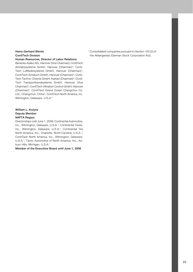## Heinz-Gerhard Wente ContiTech Division

Human Resources, Director of Labor Relations

Benecke-Kaliko AG, Hanover (Vice Chairman); ContiTech Antriebssysteme GmbH, Hanover (Chairman)\*; Conti-Tech Luftfedersysteme GmbH, Hanover (Chairman)\*; ContiTech Schlauch GmbH, Hanover (Chairman)\*; Conti-Tech Techno-Chemie GmbH, Karben (Chairman)\*; Conti-Tech Transportbandsysteme GmbH, Hanover (Vice Chairman)\*; ContiTech Vibration Control GmbH, Hanover (Chairman)\*; ContiTech Grand Ocean Changchun Co. Ltd., Changchun, China\*; ContiTech North America, inc. Wilmington, Delaware, U.S.A.\*

## William L. Kozyra Deputy Member NAFTA Region

Directorships until June 1, 2008: Continental Automotive, Inc., Wilmington, Delaware, U.S.A.\*; Continental Teves, Inc., Wilmington, Delaware, U.S.A.\*; Continental Tire North America, Inc., Charlotte, North Carolina, U.S.A.\*; ContiTech North America, Inc., Wilmington, Delaware, U.S.A.\*; Temic Automotive of North America, Inc., Auburn Hills, Michigan, U.S.A.\*

Member of the Executive Board until June 1, 2008

\* Consolidated companies pursuant to Section 100 (2) of the *Aktiengesetz* (German Stock Corporation Act).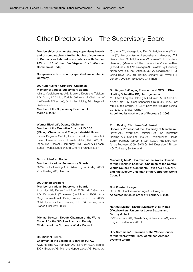# Other Directorships – The Supervisory Board

Memberships of other statutory supervisory boards and of comparable controlling bodies of companies in Germany and abroad in accordance with Section 285 No. 10 of the *Handelsgesetzbuch* (German Commercial Code):

Companies with no country specified are located in Germany.

## Dr. Hubertus von Grünberg, Chairman Member of various Supervisory Boards

Allianz Versicherungs-AG, Munich; Deutsche Telekom AG, Bonn; ABB Ltd., Zurich, Switzerland (Chairman of the Board of Directors); Schindler Holding AG, Hergiswil, Switzerland

Member of the Supervisory Board until March 6, 2009

## Werner Bischoff\*, Deputy Chairman Member of the Executive Board of IG BCE (Mining, Chemical, and Energy Industrial Union)

Evonik Degussa GmbH, Essen; Evonik Industries AG, Essen; Hoechst GmbH, Frankfurt/Main; RWE AG, Cologne; RWE Dea AG, Hamburg; RWE Power AG, Essen; Sanofi-Aventis Deutschland GmbH, Frankfurt/Main

## Dr. h.c. Manfred Bodin

## Member of various Supervisory Boards

CeWe Color Holding AG, Oldenburg (until May 2008); VHV Holding AG, Hanover

#### Dr. Diethart Breipohl

#### Member of various Supervisory Boards

Arcandor AG, Essen (until April 2008); KME Germany AG, Osnabrück (Chairman) (until March 2008); Atos Origin International, Paris, France (until June 2008); Crédit Lyonnais, Paris, France; EULER & Hermes, Paris, France (until May 2008)

Michael Deister\*, Deputy Chairman of the Works Council for the Stöcken Plant and Deputy Chairman of the Corporate Works Council

## Dr. Michael Frenzel

#### Chairman of the Executive Board of TUI AG

AWD Holding AG, Hanover; AXA Konzern AG, Cologne; E.ON Energie AG, Munich; Hapag-Lloyd AG, Hamburg (Chairman)\*\*; Hapag-Lloyd Flug GmbH, Hanover (Chairman)\*\*; Norddeutsche Landesbank, Hanover; TUI Deutschland GmbH, Hanover (Chairman)\*\*; TUI Cruises, Hamburg (Member of the Shareholders' Committee) (since June 2008); Volkswagen AG, Wolfsburg; Preussag North America, Inc., Atlanta, U.S.A. (Chairman)\*\*; TUI China Travel Co., Ltd., Beijing, China\*\*; TUI Travel PLC, London, UK (Non-Executive Chairman)\*\*

## Dr. Jürgen Geißinger, President and CEO of INA-Holding Schaeffler KG, Herzogenaurach

MTU Aero Engines Holding AG, Munich; MTU Aero Engines GmbH, Munich; Schaeffler Group USA Inc., Fort Mill, South Carolina, U.S.A.\*\*; Schaeffler Holding (China) Co. Ltd., Changsa, China\*\*

Appointed by court order of February 5, 2009

## Prof. Dr.-Ing. E.h. Hans-Olaf Henkel

Honorary Professor at the University of Mannheim Bayer AG, Leverkusen; Daimler Luft- und Raumfahrt Holding AG, Munich; EPG AG, Zweibrücken; Heliad Equity Partners GmbH & Co. KGaA, Frankfurt/Main (since February 2009); SMS GmbH, Düsseldorf; Ringier AG, Zofingen, Switzerland

Michael Iglhaut\*, Chairman of the Works Council for the Frankfurt Location, Chairman of the Central Works Council of Continental Teves AG & Co. oHG, and First Deputy Chairman of the Corporate Works Council

#### Rolf Koerfer, Lawyer

GLOBALE Rückversicherungs-AG, Cologne Appointed by court order of February 5, 2009

## Hartmut Meine\*, District Manager of IG Metall (Metalworkers' Union) for Lower Saxony and Saxony-Anhalt

KME Germany AG, Osnabrück; Volkswagen AG, Wolfsburg (since January 2009)

Dirk Nordmann\*, Chairman of the Works Council for the Vahrenwald Plant, ContiTech Antriebssysteme GmbH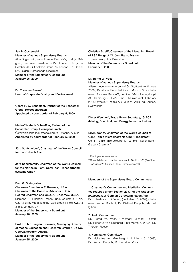## Jan P. Oosterveld

### Member of various Supervisory Boards

Atos Origin S.A., Paris, France; Barco NV, Kortrijk, Belgium; Candover Investments Plc, London, UK (since October 2008); Cookson Group Plc, London, UK; Crucell NV, Leiden, Netherlands (Chairman)

Member of the Supervisory Board until January 26, 2009

Dr. Thorsten Reese\* Head of Corporate Quality and Environment

Georg F. W. Schaeffler, Partner of the Schaeffler Group, Herzogenaurach Appointed by court order of February 5, 2009

## Maria-Elisabeth Schaeffler, Partner of the Schaeffler Group, Herzogenaurach

Österreichische Industrieholding AG, Vienna, Austria Appointed by court order of February 5, 2009

Jörg Schönfelder\*, Chairman of the Works Council for the Korbach Plant

Jörg Schustereit\*, Chairman of the Works Council for the Northeim Plant, ContiTech Transportbandsysteme GmbH

#### Fred G. Steingraber

Chairman Emeritus A.T. Kearney, U.S.A., Chairman of the Board of Advisors, U.S.A.,

Retired Chairman and CEO, A.T. Kearney, U.S.A. Diamond Hill Financial Trends Fund, Columbus, Ohio, U.S.A.; Elkay Manufacturing, Oak Brook, Illinois, U.S.A.; 3i plc, London, UK

Member of the Supervisory Board until January 26, 2009

Prof. Dr. h.c. Jürgen Stockmar, Managing Director of Magna Education and Research GmbH & Co KG, Oberwaltersdorf, Austria Member of the Supervisory Board until January 25, 2009

Christian Streiff, Chairman of the Managing Board of PSA Peugeot Citröen, Paris, France ThyssenKrupp AG, Düsseldorf Member of the Supervisory Board until February 3, 2009

## Dr. Bernd W. Voss

## Member of various Supervisory Boards

Allianz Lebensversicherungs-AG, Stuttgart (until May 2008); Bankhaus Reuschel & Co., Munich (Vice Chairman); Dresdner Bank AG, Frankfurt/Main; Hapag-Lloyd AG, Hamburg; OSRAM GmbH, Munich (until February 2008); Wacker Chemie AG, Munich; ABB Ltd., Zürich, **Switzerland** 

## Dieter Weniger\*, Trade Union Secretary, IG BCE (Mining, Chemical, and Energy Industrial Union)

Erwin Wörle\*, Chairman of the Works Council of Conti Temic microelectronic GmbH, Ingolstadt Conti Temic microelectronic GmbH, Nuremberg\*\* (Deputy Chairman)

\* Employee representative.

\*\* Consolidated companies pursuant to Section 100 (2) of the *Aktiengesetz* (German Stock Corporation Act).

## Members of the Supervisory Board Committees:

1. Chairman's Committee and Mediation Committee required under Section 27 (3) of the *Mitbestimmungsgesetz* (German Co-determination Act) Dr. Hubertus von Grünberg (until March 6, 2009), Chairman; Werner Bischoff; Dr. Diethart Breipohl; Michael Iglhaut

#### 2. Audit Committee

Dr. Bernd W. Voss, Chairman; Michael Deister; Dr. Hubertus von Grünberg (until March 6, 2009); Dr. Thorsten Reese

## 3. Nomination Committee

Dr. Hubertus von Grünberg (until March 6, 2009); Dr. Diethart Breipohl; Dr. Bernd W. Voss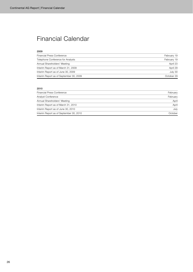# Financial Calendar

## 2009

| <b>Financial Press Conference</b>       | February 19 |
|-----------------------------------------|-------------|
| Telephone Conference for Analysts       | February 19 |
| Annual Shareholders' Meeting            | April 23    |
| Interim Report as of March 31, 2009     | April 29    |
| Interim Report as of June 30, 2009      | July 30     |
| Interim Report as of September 30, 2009 | October 29  |

## 2010

| Financial Press Conference              | February |
|-----------------------------------------|----------|
| Analyst Conference                      | February |
| Annual Shareholders' Meeting            | April    |
| Interim Report as of March 31, 2010     | April    |
| Interim Report as of June 30, 2010      | July     |
| Interim Report as of September 30, 2010 | October  |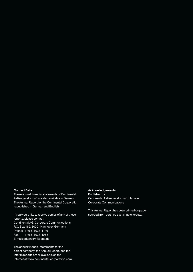## **Contact Data**

These annual financial statements of Continental Aktiengesellschaft are also available in German. The Annual Report for the Continental Corporation is published in German and English.

If you would like to receive copies of any of these reports, please contact: Continental AG, Corporate Communications P.O. Box 169, 30001 Hannover, Germany Phone: +49 511938-1146 Fax: +49 511938-1055 E-mail: prkonzern@conti.de

The annual financial statements for the parent company, the Annual Report, and the interim reports are all available on the Internet at www.continental-corporation.com

## **Acknowledgements**

Published by: Continental Aktiengesellschaft, Hanover Corporate Communications

This Annual Report has been printed on paper sourced from certified sustainable forests.